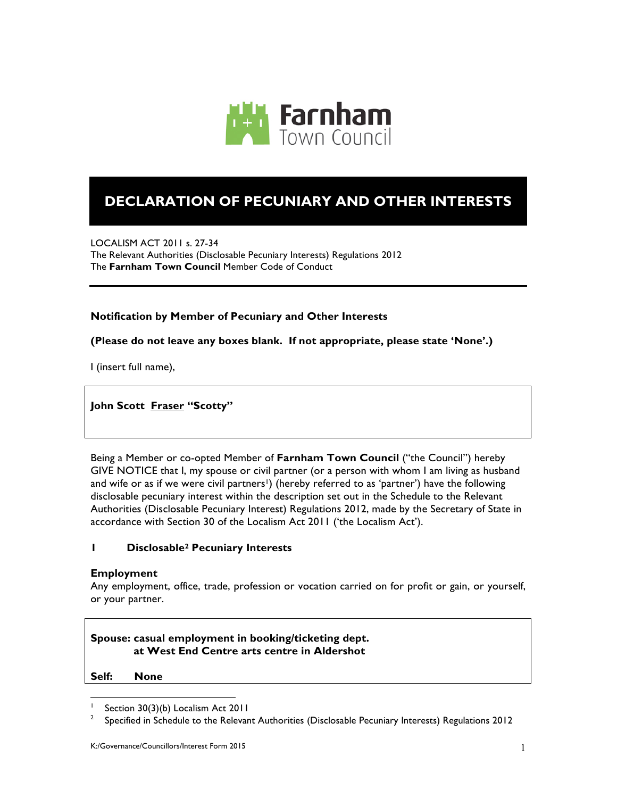

# **DECLARATION OF PECUNIARY AND OTHER INTERESTS**

LOCALISM ACT 2011 s. 27-34 The Relevant Authorities (Disclosable Pecuniary Interests) Regulations 2012 The **Farnham Town Council** Member Code of Conduct

## **Notification by Member of Pecuniary and Other Interests**

## **(Please do not leave any boxes blank. If not appropriate, please state 'None'.)**

I (insert full name),

**John Scott Fraser "Scotty"**

Being a Member or co-opted Member of **Farnham Town Council** ("the Council") hereby GIVE NOTICE that I, my spouse or civil partner (or a person with whom I am living as husband and wife or as if we were civil partners<sup>1</sup>) (hereby referred to as 'partner') have the following disclosable pecuniary interest within the description set out in the Schedule to the Relevant Authorities (Disclosable Pecuniary Interest) Regulations 2012, made by the Secretary of State in accordance with Section 30 of the Localism Act 2011 ('the Localism Act').

## **1 Disclosable2 Pecuniary Interests**

#### **Employment**

Any employment, office, trade, profession or vocation carried on for profit or gain, or yourself, or your partner.

# **Spouse: casual employment in booking/ticketing dept. at West End Centre arts centre in Aldershot**

**Self: None**

l

Section 30(3)(b) Localism Act 2011

<sup>2</sup> Specified in Schedule to the Relevant Authorities (Disclosable Pecuniary Interests) Regulations 2012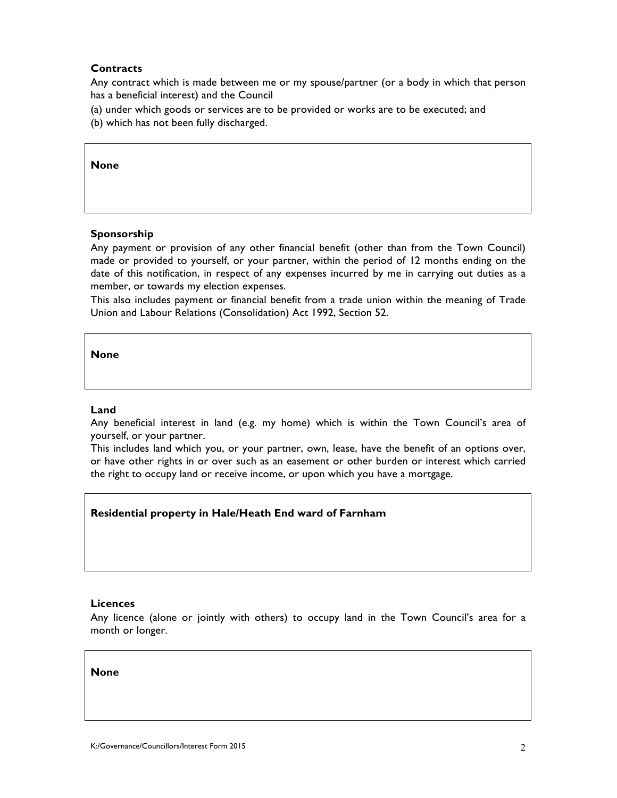## **Contracts**

Any contract which is made between me or my spouse/partner (or a body in which that person has a beneficial interest) and the Council

- (a) under which goods or services are to be provided or works are to be executed; and
- (b) which has not been fully discharged.

#### **None**

#### **Sponsorship**

Any payment or provision of any other financial benefit (other than from the Town Council) made or provided to yourself, or your partner, within the period of 12 months ending on the date of this notification, in respect of any expenses incurred by me in carrying out duties as a member, or towards my election expenses.

This also includes payment or financial benefit from a trade union within the meaning of Trade Union and Labour Relations (Consolidation) Act 1992, Section 52.

**None**

#### **Land**

Any beneficial interest in land (e.g. my home) which is within the Town Council's area of yourself, or your partner.

This includes land which you, or your partner, own, lease, have the benefit of an options over, or have other rights in or over such as an easement or other burden or interest which carried the right to occupy land or receive income, or upon which you have a mortgage.

## **Residential property in Hale/Heath End ward of Farnham**

#### **Licences**

Any licence (alone or jointly with others) to occupy land in the Town Council's area for a month or longer.

**None**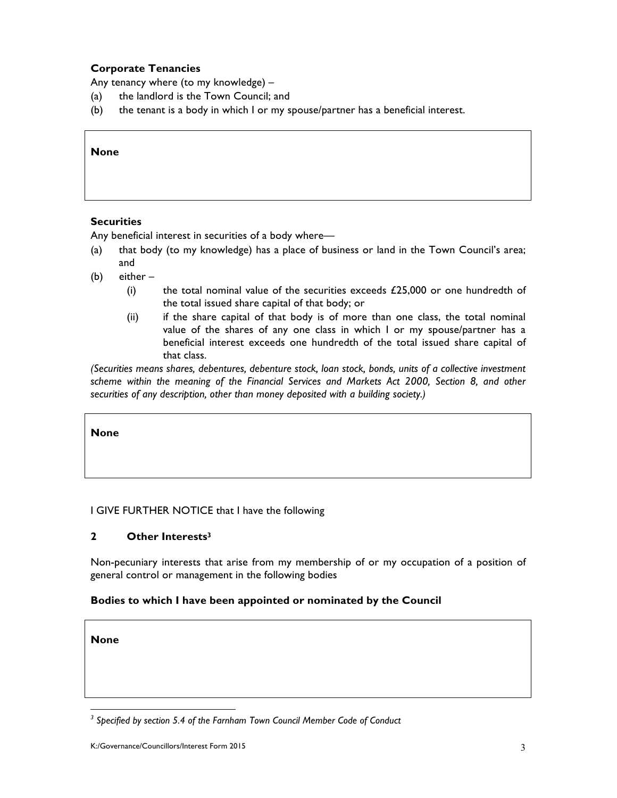# **Corporate Tenancies**

Any tenancy where (to my knowledge) –

- (a) the landlord is the Town Council; and
- (b) the tenant is a body in which I or my spouse/partner has a beneficial interest.

#### **None**

## **Securities**

Any beneficial interest in securities of a body where—

- (a) that body (to my knowledge) has a place of business or land in the Town Council's area; and
- (b) either
	- (i) the total nominal value of the securities exceeds  $£25,000$  or one hundredth of the total issued share capital of that body; or
	- (ii) if the share capital of that body is of more than one class, the total nominal value of the shares of any one class in which I or my spouse/partner has a beneficial interest exceeds one hundredth of the total issued share capital of that class.

*(Securities means shares, debentures, debenture stock, loan stock, bonds, units of a collective investment scheme within the meaning of the Financial Services and Markets Act 2000, Section 8, and other securities of any description, other than money deposited with a building society.)*

**None**

#### I GIVE FURTHER NOTICE that I have the following

#### **2 Other Interests3**

Non-pecuniary interests that arise from my membership of or my occupation of a position of general control or management in the following bodies

#### **Bodies to which I have been appointed or nominated by the Council**

**None**

l

*<sup>3</sup> Specified by section 5.4 of the Farnham Town Council Member Code of Conduct*